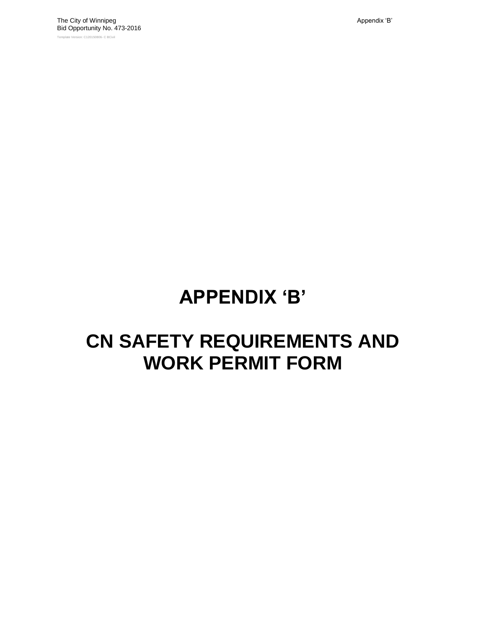# **APPENDIX "B"**

## **CN SAFETY REQUIREMENTS AND WORK PERMIT FORM**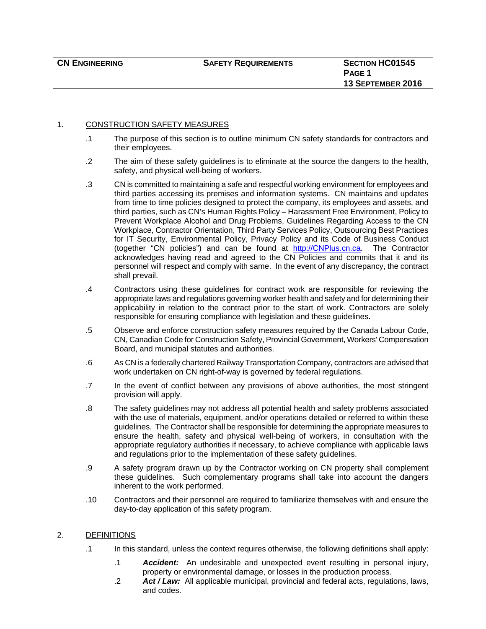#### 1. CONSTRUCTION SAFETY MEASURES

- .1 The purpose of this section is to outline minimum CN safety standards for contractors and their employees.
- .2 The aim of these safety guidelines is to eliminate at the source the dangers to the health, safety, and physical well-being of workers.
- .3 CN is committed to maintaining a safe and respectful working environment for employees and third parties accessing its premises and information systems. CN maintains and updates from time to time policies designed to protect the company, its employees and assets, and third parties, such as CN's Human Rights Policy – Harassment Free Environment, Policy to Prevent Workplace Alcohol and Drug Problems, Guidelines Regarding Access to the CN Workplace, Contractor Orientation, Third Party Services Policy, Outsourcing Best Practices for IT Security, Environmental Policy, Privacy Policy and its Code of Business Conduct (together "CN policies") and can be found at http://CNPlus.cn.ca. The Contractor acknowledges having read and agreed to the CN Policies and commits that it and its personnel will respect and comply with same. In the event of any discrepancy, the contract shall prevail.
- .4 Contractors using these guidelines for contract work are responsible for reviewing the appropriate laws and regulations governing worker health and safety and for determining their applicability in relation to the contract prior to the start of work. Contractors are solely responsible for ensuring compliance with legislation and these guidelines.
- .5 Observe and enforce construction safety measures required by the Canada Labour Code, CN, Canadian Code for Construction Safety, Provincial Government, Workers' Compensation Board, and municipal statutes and authorities.
- .6 As CN is a federally chartered Railway Transportation Company, contractors are advised that work undertaken on CN right-of-way is governed by federal regulations.
- .7 In the event of conflict between any provisions of above authorities, the most stringent provision will apply.
- .8 The safety guidelines may not address all potential health and safety problems associated with the use of materials, equipment, and/or operations detailed or referred to within these guidelines. The Contractor shall be responsible for determining the appropriate measures to ensure the health, safety and physical well-being of workers, in consultation with the appropriate regulatory authorities if necessary, to achieve compliance with applicable laws and regulations prior to the implementation of these safety guidelines.
- .9 A safety program drawn up by the Contractor working on CN property shall complement these guidelines. Such complementary programs shall take into account the dangers inherent to the work performed.
- .10 Contractors and their personnel are required to familiarize themselves with and ensure the day-to-day application of this safety program.

#### 2. DEFINITIONS

- .1 In this standard, unless the context requires otherwise, the following definitions shall apply:
	- .1 *Accident:* An undesirable and unexpected event resulting in personal injury, property or environmental damage, or losses in the production process.
	- .2 *Act / Law:* All applicable municipal, provincial and federal acts, regulations, laws, and codes.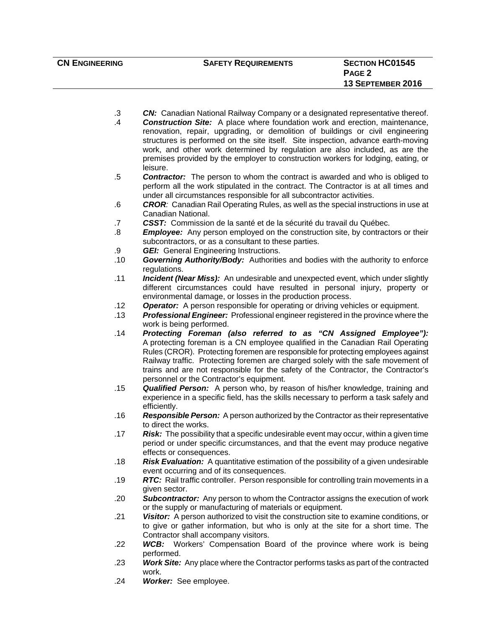- .3 *CN:* Canadian National Railway Company or a designated representative thereof.
- .4 *Construction Site:* A place where foundation work and erection, maintenance, renovation, repair, upgrading, or demolition of buildings or civil engineering structures is performed on the site itself. Site inspection, advance earth-moving work, and other work determined by regulation are also included, as are the premises provided by the employer to construction workers for lodging, eating, or leisure.
- .5 *Contractor:*The person to whom the contract is awarded and who is obliged to perform all the work stipulated in the contract. The Contractor is at all times and under all circumstances responsible for all subcontractor activities.
- .6 *CROR:* Canadian Rail Operating Rules, as well as the special instructions in use at Canadian National.
- .7 *CSST:*Commission de la santé et de la sécurité du travail du Québec.
- .8 *Employee:* Any person employed on the construction site, by contractors or their subcontractors, or as a consultant to these parties.
- .9 *GEI:* General Engineering Instructions.
- .10 *Governing Authority/Body:*Authorities and bodies with the authority to enforce regulations.
- .11 *Incident (Near Miss):*An undesirable and unexpected event, which under slightly different circumstances could have resulted in personal injury, property or environmental damage, or losses in the production process.
- .12 *Operator:*A person responsible for operating or driving vehicles or equipment.
- .13 *Professional Engineer:* Professional engineer registered in the province where the work is being performed.
- .14 *Protecting Foreman (also referred to as "CN Assigned Employee"):*  A protecting foreman is a CN employee qualified in the Canadian Rail Operating Rules (CROR). Protecting foremen are responsible for protecting employees against Railway traffic. Protecting foremen are charged solely with the safe movement of trains and are not responsible for the safety of the Contractor, the Contractor's personnel or the Contractor's equipment.
- .15 *Qualified Person:*A person who, by reason of his/her knowledge, training and experience in a specific field, has the skills necessary to perform a task safely and efficiently.
- .16 *Responsible Person:*A person authorized by the Contractor as their representative to direct the works.
- .17 *Risk:*The possibility that a specific undesirable event may occur, within a given time period or under specific circumstances, and that the event may produce negative effects or consequences.
- .18 *Risk Evaluation:* A quantitative estimation of the possibility of a given undesirable event occurring and of its consequences.
- .19 *RTC:* Rail traffic controller. Person responsible for controlling train movements in a given sector.
- .20 *Subcontractor:*Any person to whom the Contractor assigns the execution of work or the supply or manufacturing of materials or equipment.
- .21 *Visitor:*A person authorized to visit the construction site to examine conditions, or to give or gather information, but who is only at the site for a short time. The Contractor shall accompany visitors.
- .22 *WCB:* Workers' Compensation Board of the province where work is being performed.
- .23 *Work Site:*Any place where the Contractor performs tasks as part of the contracted work.
- .24 *Worker:* See employee.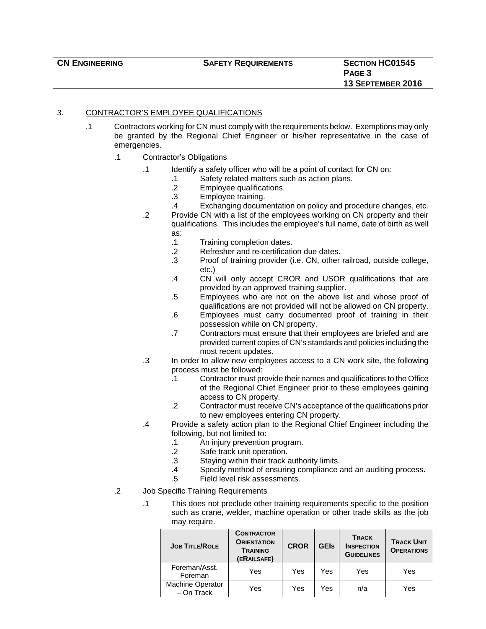#### 3. CONTRACTOR'S EMPLOYEE QUALIFICATIONS

- .1 Contractors working for CN must comply with the requirements below. Exemptions may only be granted by the Regional Chief Engineer or his/her representative in the case of emergencies.
	- .1 Contractor's Obligations
		- .1 Identify a safety officer who will be a point of contact for CN on:
			- .1 Safety related matters such as action plans.
				- .2 Employee qualifications.<br>.3 Employee training.
				- Employee training.
			- .4 Exchanging documentation on policy and procedure changes, etc.
		- .2 Provide CN with a list of the employees working on CN property and their qualifications. This includes the employee's full name, date of birth as well as:
			- .1 Training completion dates.
			- .2 Refresher and re-certification due dates.
			- .3 Proof of training provider (i.e. CN, other railroad, outside college, etc.)
			- .4 CN will only accept CROR and USOR qualifications that are provided by an approved training supplier.
			- .5 Employees who are not on the above list and whose proof of qualifications are not provided will not be allowed on CN property.
			- .6 Employees must carry documented proof of training in their possession while on CN property.
			- .7 Contractors must ensure that their employees are briefed and are provided current copies of CN's standards and policies including the most recent updates.
		- .3 In order to allow new employees access to a CN work site, the following process must be followed:
			- .1 Contractor must provide their names and qualifications to the Office of the Regional Chief Engineer prior to these employees gaining access to CN property.
			- .2 Contractor must receive CN's acceptance of the qualifications prior to new employees entering CN property.
		- .4 Provide a safety action plan to the Regional Chief Engineer including the following, but not limited to:
			- .1 An injury prevention program.
			- .2 Safe track unit operation.
			- .3 Staying within their track authority limits.
			- .4 Specify method of ensuring compliance and an auditing process.
			- .5 Field level risk assessments.
	- .2 Job Specific Training Requirements
		- .1 This does not preclude other training requirements specific to the position such as crane, welder, machine operation or other trade skills as the job may require.

| <b>JOB TITLE/ROLE</b>                 | <b>CONTRACTOR</b><br><b>ORIENTATION</b><br><b>TRAINING</b><br>(ERAILSAFE) | <b>CROR</b> | <b>GEIs</b> | <b>TRACK</b><br><b>INSPECTION</b><br><b>GUIDELINES</b> | <b>TRACK UNIT</b><br><b>OPERATIONS</b> |
|---------------------------------------|---------------------------------------------------------------------------|-------------|-------------|--------------------------------------------------------|----------------------------------------|
| Foreman/Asst.<br>Foreman              | Yes                                                                       | Yes         | Yes         | Yes                                                    | Yes                                    |
| <b>Machine Operator</b><br>- On Track | Yes                                                                       | Yes         | Yes         | n/a                                                    | Yes                                    |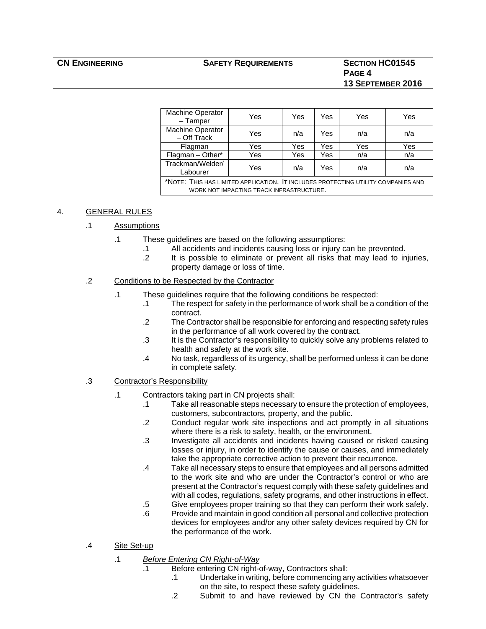#### **CN ENGINEERING SAFETY REQUIREMENTS SECTION HC01545**

### **PAGE 4 13 SEPTEMBER 2016**

| <b>Machine Operator</b><br>$-$ Tamper                                                                                         | Yes | Yes | Yes | Yes | Yes |
|-------------------------------------------------------------------------------------------------------------------------------|-----|-----|-----|-----|-----|
| Machine Operator<br>- Off Track                                                                                               | Yes | n/a | Yes | n/a | n/a |
| Flagman                                                                                                                       | Yes | Yes | Yes | Yes | Yes |
| Flagman - Other*                                                                                                              | Yes | Yes | Yes | n/a | n/a |
| Trackman/Welder/<br>Labourer                                                                                                  | Yes | n/a | Yes | n/a | n/a |
| *NOTE: THIS HAS LIMITED APPLICATION. IT INCLUDES PROTECTING UTILITY COMPANIES AND<br>WORK NOT IMPACTING TRACK INFRASTRUCTURE. |     |     |     |     |     |
|                                                                                                                               |     |     |     |     |     |

#### 4. GENERAL RULES

#### .1 Assumptions

- .1 These guidelines are based on the following assumptions:
	- .1 All accidents and incidents causing loss or injury can be prevented. .2 It is possible to eliminate or prevent all risks that may lead to injuries,
		- property damage or loss of time.

#### .2 Conditions to be Respected by the Contractor

- .1 These guidelines require that the following conditions be respected:
	- .1 The respect for safety in the performance of work shall be a condition of the contract.
	- .2 The Contractor shall be responsible for enforcing and respecting safety rules in the performance of all work covered by the contract.
	- .3 It is the Contractor's responsibility to quickly solve any problems related to health and safety at the work site.
	- .4 No task, regardless of its urgency, shall be performed unless it can be done in complete safety.
- .3 Contractor's Responsibility
	- .1 Contractors taking part in CN projects shall:
		- .1 Take all reasonable steps necessary to ensure the protection of employees, customers, subcontractors, property, and the public.
		- .2 Conduct regular work site inspections and act promptly in all situations where there is a risk to safety, health, or the environment.
		- .3 Investigate all accidents and incidents having caused or risked causing losses or injury, in order to identify the cause or causes, and immediately take the appropriate corrective action to prevent their recurrence.
		- .4 Take all necessary steps to ensure that employees and all persons admitted to the work site and who are under the Contractor's control or who are present at the Contractor's request comply with these safety guidelines and with all codes, regulations, safety programs, and other instructions in effect.
		- .5 Give employees proper training so that they can perform their work safely.
		- .6 Provide and maintain in good condition all personal and collective protection devices for employees and/or any other safety devices required by CN for the performance of the work.
- .4 Site Set-up
	- .1 *Before Entering CN Right-of-Way*
		- .1 Before entering CN right-of-way, Contractors shall:
			- .1 Undertake in writing, before commencing any activities whatsoever on the site, to respect these safety guidelines.
			- .2 Submit to and have reviewed by CN the Contractor's safety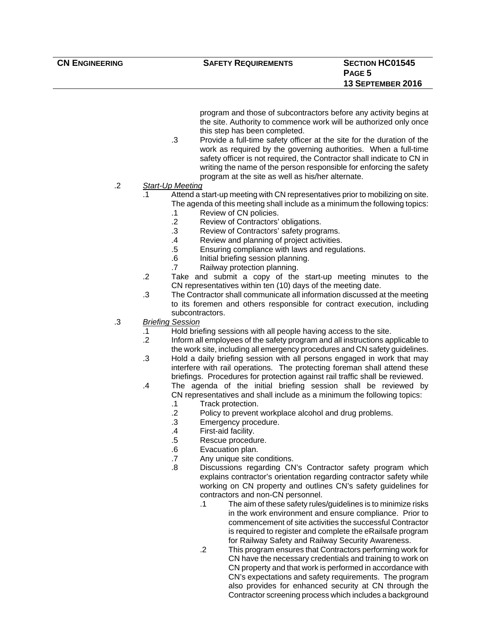program and those of subcontractors before any activity begins at the site. Authority to commence work will be authorized only once this step has been completed.

.3 Provide a full-time safety officer at the site for the duration of the work as required by the governing authorities. When a full-time safety officer is not required, the Contractor shall indicate to CN in writing the name of the person responsible for enforcing the safety program at the site as well as his/her alternate.

#### .2 *Start-Up Meeting*

- .1 Attend a start-up meeting with CN representatives prior to mobilizing on site. The agenda of this meeting shall include as a minimum the following topics:
	- .1 Review of CN policies.
	- .2 Review of Contractors' obligations.
	- .3 Review of Contractors' safety programs.
	- .4 Review and planning of project activities.
	- .5 Ensuring compliance with laws and regulations.
	- .6 Initial briefing session planning.
	- .7 Railway protection planning.
- .2 Take and submit a copy of the start-up meeting minutes to the CN representatives within ten (10) days of the meeting date.
- .3 The Contractor shall communicate all information discussed at the meeting to its foremen and others responsible for contract execution, including subcontractors.
- .3 *Briefing Session*
	- .1 Hold briefing sessions with all people having access to the site.
	- .2 Inform all employees of the safety program and all instructions applicable to the work site, including all emergency procedures and CN safety guidelines.
	- .3 Hold a daily briefing session with all persons engaged in work that may interfere with rail operations. The protecting foreman shall attend these briefings. Procedures for protection against rail traffic shall be reviewed.
	- .4 The agenda of the initial briefing session shall be reviewed by CN representatives and shall include as a minimum the following topics:
		- .1 Track protection.
		- .2 Policy to prevent workplace alcohol and drug problems.
		- .3 Emergency procedure.
		- .4 First-aid facility.
		- .5 Rescue procedure.
		- .6 Evacuation plan.
		- .7 Any unique site conditions.
		- .8 Discussions regarding CN's Contractor safety program which explains contractor's orientation regarding contractor safety while working on CN property and outlines CN's safety guidelines for contractors and non-CN personnel.
			- .1 The aim of these safety rules/guidelines is to minimize risks in the work environment and ensure compliance. Prior to commencement of site activities the successful Contractor is required to register and complete the eRailsafe program for Railway Safety and Railway Security Awareness.
			- .2 This program ensures that Contractors performing work for CN have the necessary credentials and training to work on CN property and that work is performed in accordance with CN's expectations and safety requirements. The program also provides for enhanced security at CN through the Contractor screening process which includes a background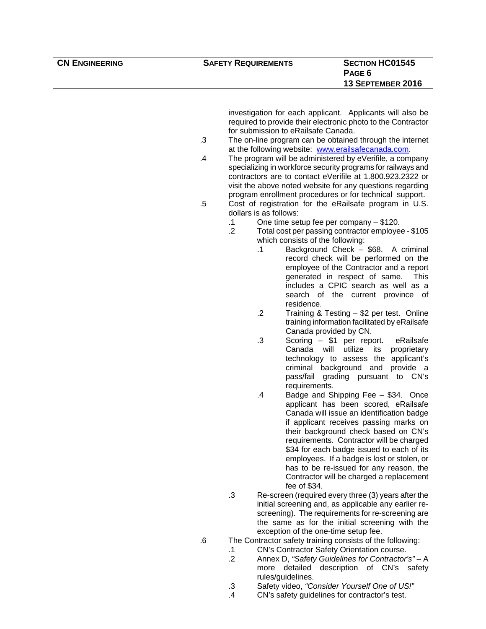investigation for each applicant. Applicants will also be required to provide their electronic photo to the Contractor for submission to eRailsafe Canada.

- .3 The on-line program can be obtained through the internet at the following website: www.erailsafecanada.com.
- .4 The program will be administered by eVerifile, a company specializing in workforce security programs for railways and contractors are to contact eVerifile at 1.800.923.2322 or visit the above noted website for any questions regarding program enrollment procedures or for technical support.
- .5 Cost of registration for the eRailsafe program in U.S. dollars is as follows:
	- .1 One time setup fee per company \$120.
	- .2 Total cost per passing contractor employee \$105 which consists of the following:
		- .1 Background Check \$68. A criminal record check will be performed on the employee of the Contractor and a report generated in respect of same. This includes a CPIC search as well as a search of the current province of residence.
		- .2 Training & Testing \$2 per test. Online training information facilitated by eRailsafe Canada provided by CN.
		- .3 Scoring \$1 per report. eRailsafe Canada will utilize its proprietary technology to assess the applicant's criminal background and provide a pass/fail grading pursuant to CN's requirements.
		- .4 Badge and Shipping Fee \$34. Once applicant has been scored, eRailsafe Canada will issue an identification badge if applicant receives passing marks on their background check based on CN's requirements. Contractor will be charged \$34 for each badge issued to each of its employees. If a badge is lost or stolen, or has to be re-issued for any reason, the Contractor will be charged a replacement fee of \$34.
	- .3 Re-screen (required every three (3) years after the initial screening and, as applicable any earlier rescreening). The requirements for re-screening are the same as for the initial screening with the exception of the one-time setup fee.
- .6 The Contractor safety training consists of the following:
	- .1 CN's Contractor Safety Orientation course.
	- .2 Annex D, *"Safety Guidelines for Contractor's"* A more detailed description of CN's safety rules/guidelines.
	- .3 Safety video, *"Consider Yourself One of US!"*
	- .4 CN's safety guidelines for contractor's test.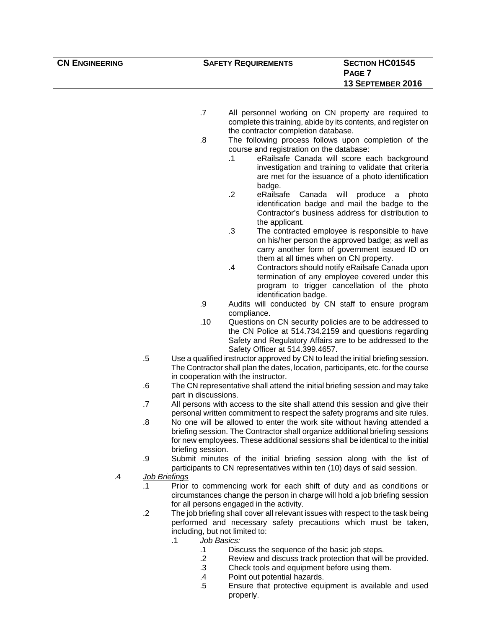**CN ENGINEERING SAFETY REQUIREMENTS SECTION HC01545 PAGE 7 13 SEPTEMBER 2016** 

- .7 All personnel working on CN property are required to complete this training, abide by its contents, and register on the contractor completion database.
- .8 The following process follows upon completion of the course and registration on the database:
	- .1 eRailsafe Canada will score each background investigation and training to validate that criteria are met for the issuance of a photo identification badge.
	- .2 eRailsafe Canada will produce a photo identification badge and mail the badge to the Contractor's business address for distribution to the applicant.
	- .3 The contracted employee is responsible to have on his/her person the approved badge; as well as carry another form of government issued ID on them at all times when on CN property.
	- .4 Contractors should notify eRailsafe Canada upon termination of any employee covered under this program to trigger cancellation of the photo identification badge.
- .9 Audits will conducted by CN staff to ensure program compliance.
- .10 Questions on CN security policies are to be addressed to the CN Police at 514.734.2159 and questions regarding Safety and Regulatory Affairs are to be addressed to the Safety Officer at 514.399.4657.
- .5 Use a qualified instructor approved by CN to lead the initial briefing session. The Contractor shall plan the dates, location, participants, etc. for the course in cooperation with the instructor.
- .6 The CN representative shall attend the initial briefing session and may take part in discussions.
- .7 All persons with access to the site shall attend this session and give their personal written commitment to respect the safety programs and site rules.
- .8 No one will be allowed to enter the work site without having attended a briefing session. The Contractor shall organize additional briefing sessions for new employees. These additional sessions shall be identical to the initial briefing session.
- .9 Submit minutes of the initial briefing session along with the list of participants to CN representatives within ten (10) days of said session.
- .4 *Job Briefings*
	- .1 Prior to commencing work for each shift of duty and as conditions or circumstances change the person in charge will hold a job briefing session for all persons engaged in the activity.
	- .2 The job briefing shall cover all relevant issues with respect to the task being performed and necessary safety precautions which must be taken, including, but not limited to:
		- .1 *Job Basics:*
			- .1 Discuss the sequence of the basic job steps.
			- .2 Review and discuss track protection that will be provided.
			- .3 Check tools and equipment before using them.
			- .4 Point out potential hazards.
			- .5 Ensure that protective equipment is available and used properly.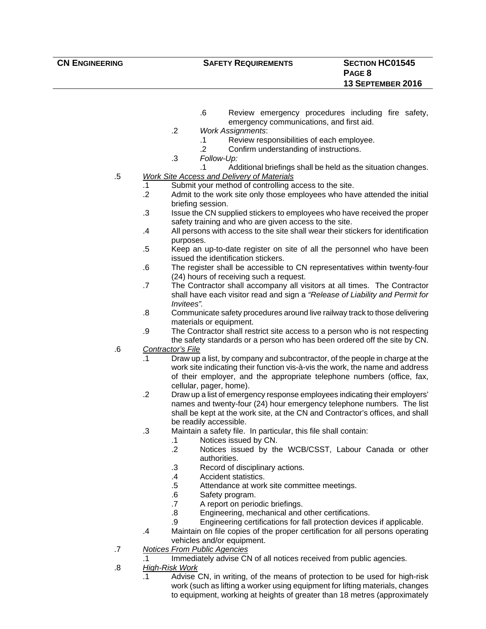- .6 Review emergency procedures including fire safety, emergency communications, and first aid.
- .2 *Work Assignments*:
	- .1 Review responsibilities of each employee.
	- .2 Confirm understanding of instructions.
- .3 *Follow-Up:*
	- .1 Additional briefings shall be held as the situation changes.
- .5 *Work Site Access and Delivery of Materials*
	- .1 Submit your method of controlling access to the site.
	- .2 Admit to the work site only those employees who have attended the initial briefing session.
	- .3 Issue the CN supplied stickers to employees who have received the proper safety training and who are given access to the site.
	- .4 All persons with access to the site shall wear their stickers for identification purposes.
	- .5 Keep an up-to-date register on site of all the personnel who have been issued the identification stickers.
	- .6 The register shall be accessible to CN representatives within twenty-four (24) hours of receiving such a request.
	- .7 The Contractor shall accompany all visitors at all times. The Contractor shall have each visitor read and sign a *"Release of Liability and Permit for Invitees".*
	- .8 Communicate safety procedures around live railway track to those delivering materials or equipment.
	- .9 The Contractor shall restrict site access to a person who is not respecting the safety standards or a person who has been ordered off the site by CN.
- .6 *Contractor's File*
	- .1 Draw up a list, by company and subcontractor, of the people in charge at the work site indicating their function vis-à-vis the work, the name and address of their employer, and the appropriate telephone numbers (office, fax, cellular, pager, home).
	- .2 Draw up a list of emergency response employees indicating their employers' names and twenty-four (24) hour emergency telephone numbers. The list shall be kept at the work site, at the CN and Contractor's offices, and shall be readily accessible.
	- .3 Maintain a safety file. In particular, this file shall contain:
		- .1 Notices issued by CN.
			- .2 Notices issued by the WCB/CSST, Labour Canada or other authorities.
			- .3 Record of disciplinary actions.
			- .4 Accident statistics.
			- .5 Attendance at work site committee meetings.
			- .6 Safety program.
			- .7 A report on periodic briefings.
			- .8 Engineering, mechanical and other certifications.
			- .9 Engineering certifications for fall protection devices if applicable.
	- .4 Maintain on file copies of the proper certification for all persons operating vehicles and/or equipment.
- .7 *Notices From Public Agencies*
	- .1 Immediately advise CN of all notices received from public agencies.
- .8 *High-Risk Work*
	- .1 Advise CN, in writing, of the means of protection to be used for high-risk work (such as lifting a worker using equipment for lifting materials, changes to equipment, working at heights of greater than 18 metres (approximately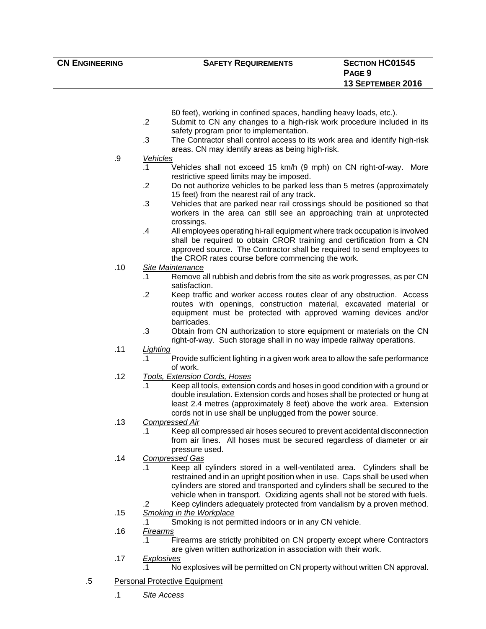60 feet), working in confined spaces, handling heavy loads, etc.).

- .2 Submit to CN any changes to a high-risk work procedure included in its safety program prior to implementation.
- .3 The Contractor shall control access to its work area and identify high-risk areas. CN may identify areas as being high-risk.
- .9 *Vehicles*
	- .1 Vehicles shall not exceed 15 km/h (9 mph) on CN right-of-way. More restrictive speed limits may be imposed.
	- .2 Do not authorize vehicles to be parked less than 5 metres (approximately 15 feet) from the nearest rail of any track.
	- .3 Vehicles that are parked near rail crossings should be positioned so that workers in the area can still see an approaching train at unprotected crossings.
	- .4 All employees operating hi-rail equipment where track occupation is involved shall be required to obtain CROR training and certification from a CN approved source. The Contractor shall be required to send employees to the CROR rates course before commencing the work.
- .10 *Site Maintenance*
	- .1 Remove all rubbish and debris from the site as work progresses, as per CN satisfaction.
	- .2 Keep traffic and worker access routes clear of any obstruction. Access routes with openings, construction material, excavated material or equipment must be protected with approved warning devices and/or **barricades**
	- .3 Obtain from CN authorization to store equipment or materials on the CN right-of-way. Such storage shall in no way impede railway operations.
- .11 *Lighting*
	- .1 Provide sufficient lighting in a given work area to allow the safe performance of work.
- .12 *Tools, Extension Cords, Hoses*
	- .1 Keep all tools, extension cords and hoses in good condition with a ground or double insulation. Extension cords and hoses shall be protected or hung at least 2.4 metres (approximately 8 feet) above the work area. Extension cords not in use shall be unplugged from the power source.
- .13 *Compressed Air*
	- .1 Keep all compressed air hoses secured to prevent accidental disconnection from air lines. All hoses must be secured regardless of diameter or air pressure used.
- .14 *Compressed Gas*
	- .1 Keep all cylinders stored in a well-ventilated area. Cylinders shall be restrained and in an upright position when in use. Caps shall be used when cylinders are stored and transported and cylinders shall be secured to the vehicle when in transport. Oxidizing agents shall not be stored with fuels.
- .2 Keep cylinders adequately protected from vandalism by a proven method. .15 *Smoking in the Workplace*
	- .1 Smoking is not permitted indoors or in any CN vehicle.
- .16 *Firearms*
	- .1 Firearms are strictly prohibited on CN property except where Contractors are given written authorization in association with their work.
- .17 *Explosives*
	- .1 No explosives will be permitted on CN property without written CN approval.
- .5 Personal Protective Equipment
	- .1 *Site Access*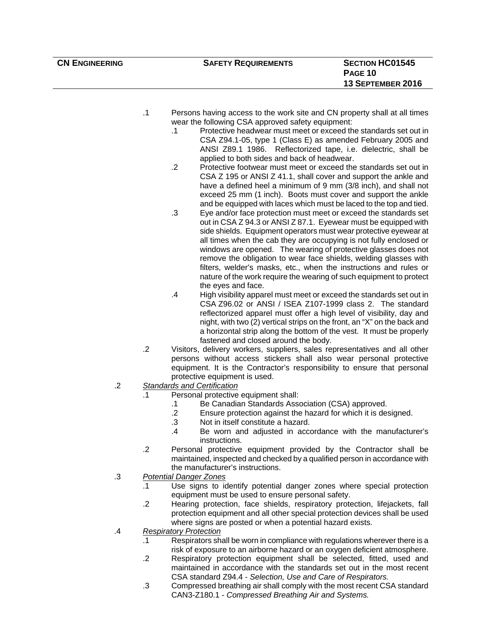| <b>CN ENGINEERING</b> |                |           | <b>SAFETY REQUIREMENTS</b>                                                                                                                                                                                                                                              | <b>SECTION HC01545</b> |
|-----------------------|----------------|-----------|-------------------------------------------------------------------------------------------------------------------------------------------------------------------------------------------------------------------------------------------------------------------------|------------------------|
|                       |                |           |                                                                                                                                                                                                                                                                         | <b>PAGE 10</b>         |
|                       |                |           |                                                                                                                                                                                                                                                                         | 13 SEPTEMBER 2016      |
|                       |                |           |                                                                                                                                                                                                                                                                         |                        |
|                       |                |           |                                                                                                                                                                                                                                                                         |                        |
|                       | .1             | $\cdot$ 1 | Persons having access to the work site and CN property shall at all times<br>wear the following CSA approved safety equipment:<br>Protective headwear must meet or exceed the standards set out in                                                                      |                        |
|                       |                |           | CSA Z94.1-05, type 1 (Class E) as amended February 2005 and<br>ANSI Z89.1 1986. Reflectorized tape, i.e. dielectric, shall be<br>applied to both sides and back of headwear.                                                                                            |                        |
|                       |                | $\cdot$   | Protective footwear must meet or exceed the standards set out in<br>CSA Z 195 or ANSI Z 41.1, shall cover and support the ankle and<br>have a defined heel a minimum of 9 mm (3/8 inch), and shall not<br>exceed 25 mm (1 inch). Boots must cover and support the ankle |                        |
|                       |                |           | and be equipped with laces which must be laced to the top and tied.                                                                                                                                                                                                     |                        |
|                       |                | $\cdot$ 3 | Eye and/or face protection must meet or exceed the standards set                                                                                                                                                                                                        |                        |
|                       |                |           | out in CSA Z 94.3 or ANSI Z 87.1. Eyewear must be equipped with                                                                                                                                                                                                         |                        |
|                       |                |           | side shields. Equipment operators must wear protective eyewear at<br>all times when the cab they are occupying is not fully enclosed or                                                                                                                                 |                        |
|                       |                |           | windows are opened. The wearing of protective glasses does not                                                                                                                                                                                                          |                        |
|                       |                |           | remove the obligation to wear face shields, welding glasses with                                                                                                                                                                                                        |                        |
|                       |                |           | filters, welder's masks, etc., when the instructions and rules or                                                                                                                                                                                                       |                        |
|                       |                |           | nature of the work require the wearing of such equipment to protect<br>the eyes and face.                                                                                                                                                                               |                        |
|                       |                | .4        | High visibility apparel must meet or exceed the standards set out in                                                                                                                                                                                                    |                        |
|                       |                |           | CSA Z96.02 or ANSI / ISEA Z107-1999 class 2. The standard                                                                                                                                                                                                               |                        |
|                       |                |           | reflectorized apparel must offer a high level of visibility, day and                                                                                                                                                                                                    |                        |
|                       |                |           | night, with two (2) vertical strips on the front, an "X" on the back and                                                                                                                                                                                                |                        |
|                       |                |           | a horizontal strip along the bottom of the vest. It must be properly<br>fastened and closed around the body.                                                                                                                                                            |                        |
|                       | $\overline{2}$ |           | Visitors, delivery workers, suppliers, sales representatives and all other                                                                                                                                                                                              |                        |
|                       |                |           | persons without access stickers shall also wear personal protective                                                                                                                                                                                                     |                        |
|                       |                |           | equipment. It is the Contractor's responsibility to ensure that personal                                                                                                                                                                                                |                        |
| .2                    |                |           | protective equipment is used.<br><b>Standards and Certification</b>                                                                                                                                                                                                     |                        |
|                       |                |           | Personal protective equipment shall:                                                                                                                                                                                                                                    |                        |
|                       |                | .1        | Be Canadian Standards Association (CSA) approved.                                                                                                                                                                                                                       |                        |
|                       |                | $\cdot$   | Ensure protection against the hazard for which it is designed.                                                                                                                                                                                                          |                        |
|                       |                | $\cdot$ 3 | Not in itself constitute a hazard.                                                                                                                                                                                                                                      |                        |
|                       |                | $\cdot$   | Be worn and adjusted in accordance with the manufacturer's<br>instructions.                                                                                                                                                                                             |                        |
|                       | $\cdot$        |           | Personal protective equipment provided by the Contractor shall be                                                                                                                                                                                                       |                        |
|                       |                |           | maintained, inspected and checked by a qualified person in accordance with<br>the manufacturer's instructions.                                                                                                                                                          |                        |
| $\cdot$ 3             |                |           | <b>Potential Danger Zones</b>                                                                                                                                                                                                                                           |                        |

- .1 Use signs to identify potential danger zones where special protection equipment must be used to ensure personal safety.
- .2 Hearing protection, face shields, respiratory protection, lifejackets, fall protection equipment and all other special protection devices shall be used where signs are posted or when a potential hazard exists.
- .4 *Respiratory Protection*
	- .1 Respirators shall be worn in compliance with regulations wherever there is a risk of exposure to an airborne hazard or an oxygen deficient atmosphere.
	- .2 Respiratory protection equipment shall be selected, fitted, used and maintained in accordance with the standards set out in the most recent CSA standard Z94.4 - *Selection, Use and Care of Respirators.*
	- .3 Compressed breathing air shall comply with the most recent CSA standard CAN3-Z180.1 - *Compressed Breathing Air and Systems.*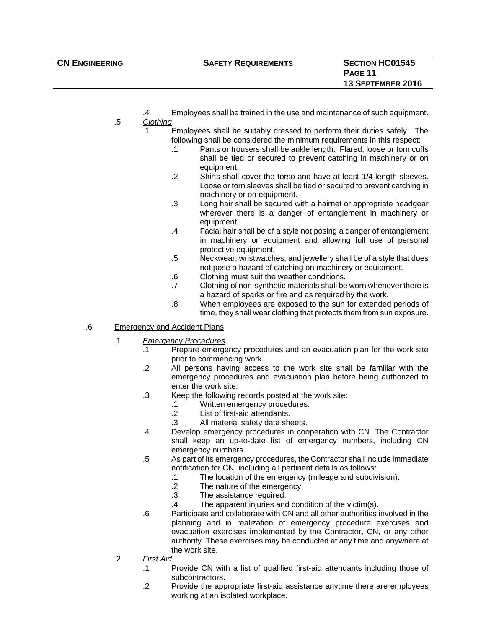- .4 Employees shall be trained in the use and maintenance of such equipment.
- .5 *Clothing*
	- .1 Employees shall be suitably dressed to perform their duties safely. The following shall be considered the minimum requirements in this respect:
		- .1 Pants or trousers shall be ankle length. Flared, loose or torn cuffs shall be tied or secured to prevent catching in machinery or on equipment.
		- .2 Shirts shall cover the torso and have at least 1/4-length sleeves. Loose or torn sleeves shall be tied or secured to prevent catching in machinery or on equipment.
		- .3 Long hair shall be secured with a hairnet or appropriate headgear wherever there is a danger of entanglement in machinery or equipment.
		- .4 Facial hair shall be of a style not posing a danger of entanglement in machinery or equipment and allowing full use of personal protective equipment.
		- .5 Neckwear, wristwatches, and jewellery shall be of a style that does not pose a hazard of catching on machinery or equipment.
		- .6 Clothing must suit the weather conditions.
		- .7 Clothing of non-synthetic materials shall be worn whenever there is a hazard of sparks or fire and as required by the work.
		- .8 When employees are exposed to the sun for extended periods of time, they shall wear clothing that protects them from sun exposure.
- .6 Emergency and Accident Plans
	- .1 *Emergency Procedures*
		- .1 Prepare emergency procedures and an evacuation plan for the work site prior to commencing work.
		- .2 All persons having access to the work site shall be familiar with the emergency procedures and evacuation plan before being authorized to enter the work site.
		- .3 Keep the following records posted at the work site:
			- .1 Written emergency procedures.
			- .2 List of first-aid attendants.
			- .3 All material safety data sheets.
		- .4 Develop emergency procedures in cooperation with CN. The Contractor shall keep an up-to-date list of emergency numbers, including CN emergency numbers.
		- .5 As part of its emergency procedures, the Contractor shall include immediate notification for CN, including all pertinent details as follows:
			- .1 The location of the emergency (mileage and subdivision).
			- .2 The nature of the emergency.
			- .3 The assistance required.
			- .4 The apparent injuries and condition of the victim(s).
		- .6 Participate and collaborate with CN and all other authorities involved in the planning and in realization of emergency procedure exercises and evacuation exercises implemented by the Contractor, CN, or any other authority. These exercises may be conducted at any time and anywhere at the work site.
	- .2 *First Aid*
		- .1 Provide CN with a list of qualified first-aid attendants including those of subcontractors.
		- .2 Provide the appropriate first-aid assistance anytime there are employees working at an isolated workplace.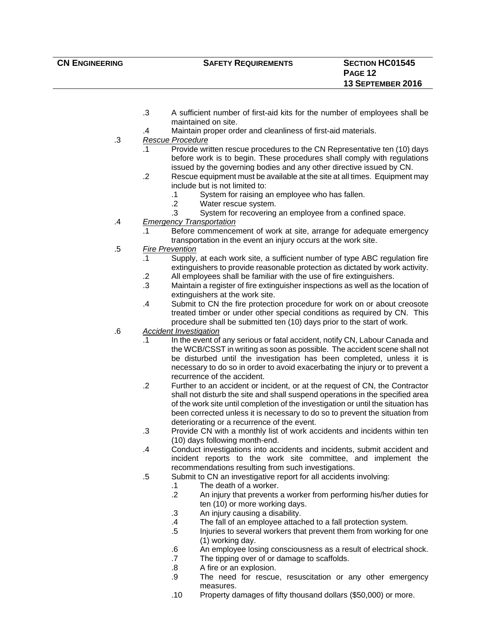- .3 A sufficient number of first-aid kits for the number of employees shall be maintained on site.
- .4 Maintain proper order and cleanliness of first-aid materials.
- .3 *Rescue Procedure*
	- .1 Provide written rescue procedures to the CN Representative ten (10) days before work is to begin. These procedures shall comply with regulations issued by the governing bodies and any other directive issued by CN.
	- .2 Rescue equipment must be available at the site at all times. Equipment may include but is not limited to:
		- .1 System for raising an employee who has fallen.
		- .2 Water rescue system.
		- .3 System for recovering an employee from a confined space.
- .4 *Emergency Transportation*
	- .1 Before commencement of work at site, arrange for adequate emergency transportation in the event an injury occurs at the work site.
- .5 *Fire Prevention*
	- .1 Supply, at each work site, a sufficient number of type ABC regulation fire extinguishers to provide reasonable protection as dictated by work activity.
	- .2 All employees shall be familiar with the use of fire extinguishers.
	- .3 Maintain a register of fire extinguisher inspections as well as the location of extinguishers at the work site.
	- .4 Submit to CN the fire protection procedure for work on or about creosote treated timber or under other special conditions as required by CN. This procedure shall be submitted ten (10) days prior to the start of work.
- .6 *Accident Investigation*
	- .1 In the event of any serious or fatal accident, notify CN, Labour Canada and the WCB/CSST in writing as soon as possible. The accident scene shall not be disturbed until the investigation has been completed, unless it is necessary to do so in order to avoid exacerbating the injury or to prevent a recurrence of the accident.
	- .2 Further to an accident or incident, or at the request of CN, the Contractor shall not disturb the site and shall suspend operations in the specified area of the work site until completion of the investigation or until the situation has been corrected unless it is necessary to do so to prevent the situation from deteriorating or a recurrence of the event.
	- .3 Provide CN with a monthly list of work accidents and incidents within ten (10) days following month-end.
	- .4 Conduct investigations into accidents and incidents, submit accident and incident reports to the work site committee, and implement the recommendations resulting from such investigations.
	- .5 Submit to CN an investigative report for all accidents involving:
		- .1 The death of a worker.
		- .2 An injury that prevents a worker from performing his/her duties for ten (10) or more working days.
		- .3 An injury causing a disability.
		- .4 The fall of an employee attached to a fall protection system.
		- .5 Injuries to several workers that prevent them from working for one (1) working day.
		- .6 An employee losing consciousness as a result of electrical shock.
		- .7 The tipping over of or damage to scaffolds.
		- .8 A fire or an explosion.
		- .9 The need for rescue, resuscitation or any other emergency measures.
		- .10 Property damages of fifty thousand dollars (\$50,000) or more.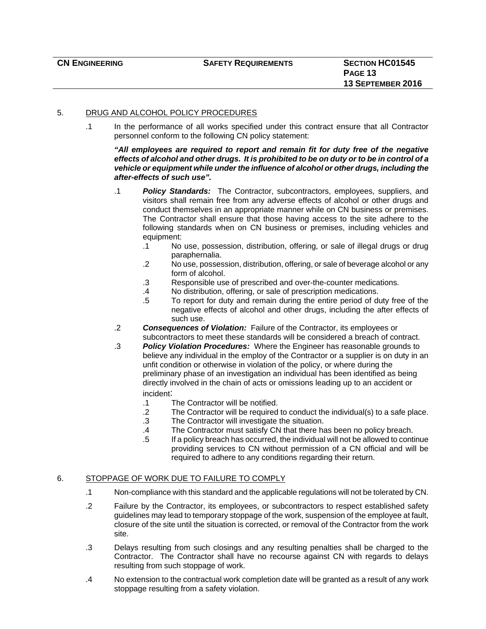#### 5. DRUG AND ALCOHOL POLICY PROCEDURES

.1 In the performance of all works specified under this contract ensure that all Contractor personnel conform to the following CN policy statement:

#### *"All employees are required to report and remain fit for duty free of the negative effects of alcohol and other drugs. It is prohibited to be on duty or to be in control of a vehicle or equipment while under the influence of alcohol or other drugs, including the after-effects of such use".*

- .1 *Policy Standards:* The Contractor, subcontractors, employees, suppliers, and visitors shall remain free from any adverse effects of alcohol or other drugs and conduct themselves in an appropriate manner while on CN business or premises. The Contractor shall ensure that those having access to the site adhere to the following standards when on CN business or premises, including vehicles and equipment:
	- .1 No use, possession, distribution, offering, or sale of illegal drugs or drug paraphernalia.
	- .2 No use, possession, distribution, offering, or sale of beverage alcohol or any form of alcohol.
	- .3 Responsible use of prescribed and over-the-counter medications.
	- .4 No distribution, offering, or sale of prescription medications.
	- .5 To report for duty and remain during the entire period of duty free of the negative effects of alcohol and other drugs, including the after effects of such use.
- .2 *Consequences of Violation:* Failure of the Contractor, its employees or subcontractors to meet these standards will be considered a breach of contract.
- .3 *Policy Violation Procedures:* Where the Engineer has reasonable grounds to believe any individual in the employ of the Contractor or a supplier is on duty in an unfit condition or otherwise in violation of the policy, or where during the preliminary phase of an investigation an individual has been identified as being directly involved in the chain of acts or omissions leading up to an accident or incident:
	- .1 The Contractor will be notified.
	- .2 The Contractor will be required to conduct the individual(s) to a safe place.
	- .3 The Contractor will investigate the situation.
	- .4 The Contractor must satisfy CN that there has been no policy breach.
	- .5 If a policy breach has occurred, the individual will not be allowed to continue providing services to CN without permission of a CN official and will be required to adhere to any conditions regarding their return.

#### 6. STOPPAGE OF WORK DUE TO FAILURE TO COMPLY

- .1 Non-compliance with this standard and the applicable regulations will not be tolerated by CN.
- .2 Failure by the Contractor, its employees, or subcontractors to respect established safety guidelines may lead to temporary stoppage of the work, suspension of the employee at fault, closure of the site until the situation is corrected, or removal of the Contractor from the work site.
- .3 Delays resulting from such closings and any resulting penalties shall be charged to the Contractor. The Contractor shall have no recourse against CN with regards to delays resulting from such stoppage of work.
- .4 No extension to the contractual work completion date will be granted as a result of any work stoppage resulting from a safety violation.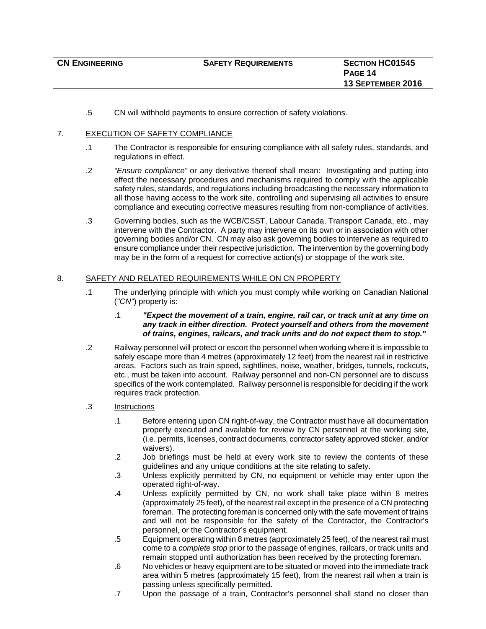.5 CN will withhold payments to ensure correction of safety violations.

#### 7. EXECUTION OF SAFETY COMPLIANCE

- .1 The Contractor is responsible for ensuring compliance with all safety rules, standards, and regulations in effect.
- .2 *"Ensure compliance"* or any derivative thereof shall mean: Investigating and putting into effect the necessary procedures and mechanisms required to comply with the applicable safety rules, standards, and regulations including broadcasting the necessary information to all those having access to the work site, controlling and supervising all activities to ensure compliance and executing corrective measures resulting from non-compliance of activities.
- .3 Governing bodies, such as the WCB/CSST, Labour Canada, Transport Canada, etc., may intervene with the Contractor. A party may intervene on its own or in association with other governing bodies and/or CN. CN may also ask governing bodies to intervene as required to ensure compliance under their respective jurisdiction. The intervention by the governing body may be in the form of a request for corrective action(s) or stoppage of the work site.

#### 8. SAFETY AND RELATED REQUIREMENTS WHILE ON CN PROPERTY

- .1 The underlying principle with which you must comply while working on Canadian National (*"CN"*) property is:
	- .1 *"Expect the movement of a train, engine, rail car, or track unit at any time on any track in either direction. Protect yourself and others from the movement of trains, engines, railcars, and track units and do not expect them to stop."*
- .2 Railway personnel will protect or escort the personnel when working where it is impossible to safely escape more than 4 metres (approximately 12 feet) from the nearest rail in restrictive areas. Factors such as train speed, sightlines, noise, weather, bridges, tunnels, rockcuts, etc., must be taken into account. Railway personnel and non-CN personnel are to discuss specifics of the work contemplated. Railway personnel is responsible for deciding if the work requires track protection.
- .3 Instructions
	- .1 Before entering upon CN right-of-way, the Contractor must have all documentation properly executed and available for review by CN personnel at the working site, (i.e. permits, licenses, contract documents, contractor safety approved sticker, and/or waivers).
	- .2 Job briefings must be held at every work site to review the contents of these guidelines and any unique conditions at the site relating to safety.
	- .3 Unless explicitly permitted by CN, no equipment or vehicle may enter upon the operated right-of-way.
	- .4 Unless explicitly permitted by CN, no work shall take place within 8 metres (approximately 25 feet), of the nearest rail except in the presence of a CN protecting foreman. The protecting foreman is concerned only with the safe movement of trains and will not be responsible for the safety of the Contractor, the Contractor's personnel, or the Contractor's equipment.
	- .5 Equipment operating within 8 metres (approximately 25 feet), of the nearest rail must come to a *complete stop* prior to the passage of engines, railcars, or track units and remain stopped until authorization has been received by the protecting foreman.
	- .6 No vehicles or heavy equipment are to be situated or moved into the immediate track area within 5 metres (approximately 15 feet), from the nearest rail when a train is passing unless specifically permitted.
	- .7 Upon the passage of a train, Contractor's personnel shall stand no closer than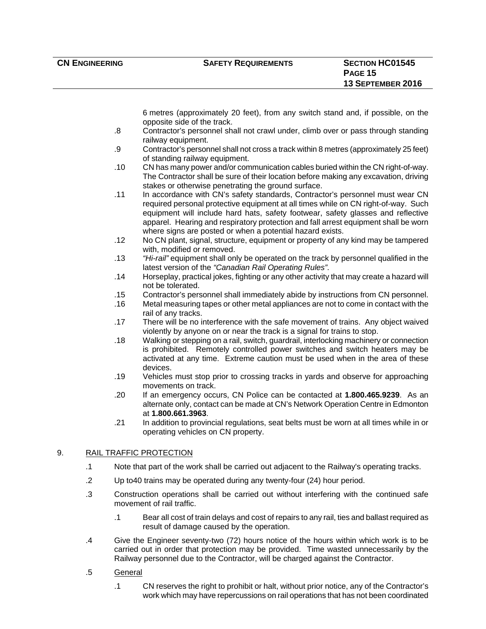6 metres (approximately 20 feet), from any switch stand and, if possible, on the opposite side of the track.

- .8 Contractor's personnel shall not crawl under, climb over or pass through standing railway equipment.
- .9 Contractor's personnel shall not cross a track within 8 metres (approximately 25 feet) of standing railway equipment.
- .10 CN has many power and/or communication cables buried within the CN right-of-way. The Contractor shall be sure of their location before making any excavation, driving stakes or otherwise penetrating the ground surface.
- .11 In accordance with CN's safety standards, Contractor's personnel must wear CN required personal protective equipment at all times while on CN right-of-way. Such equipment will include hard hats, safety footwear, safety glasses and reflective apparel. Hearing and respiratory protection and fall arrest equipment shall be worn where signs are posted or when a potential hazard exists.
- .12 No CN plant, signal, structure, equipment or property of any kind may be tampered with, modified or removed.
- .13 *"Hi-rail"* equipment shall only be operated on the track by personnel qualified in the latest version of the *"Canadian Rail Operating Rules"*.
- .14 Horseplay, practical jokes, fighting or any other activity that may create a hazard will not be tolerated.
- .15 Contractor's personnel shall immediately abide by instructions from CN personnel.
- .16 Metal measuring tapes or other metal appliances are not to come in contact with the rail of any tracks.
- .17 There will be no interference with the safe movement of trains. Any object waived violently by anyone on or near the track is a signal for trains to stop.
- .18 Walking or stepping on a rail, switch, guardrail, interlocking machinery or connection is prohibited. Remotely controlled power switches and switch heaters may be activated at any time. Extreme caution must be used when in the area of these devices.
- .19 Vehicles must stop prior to crossing tracks in yards and observe for approaching movements on track.
- .20 If an emergency occurs, CN Police can be contacted at **1.800.465.9239**. As an alternate only, contact can be made at CN's Network Operation Centre in Edmonton at **1.800.661.3963**.
- .21 In addition to provincial regulations, seat belts must be worn at all times while in or operating vehicles on CN property.

#### 9. RAIL TRAFFIC PROTECTION

- .1 Note that part of the work shall be carried out adjacent to the Railway's operating tracks.
- .2 Up to40 trains may be operated during any twenty-four (24) hour period.
- .3 Construction operations shall be carried out without interfering with the continued safe movement of rail traffic.
	- .1 Bear all cost of train delays and cost of repairs to any rail, ties and ballast required as result of damage caused by the operation.
- .4 Give the Engineer seventy-two (72) hours notice of the hours within which work is to be carried out in order that protection may be provided. Time wasted unnecessarily by the Railway personnel due to the Contractor, will be charged against the Contractor.
- .5 General
	- .1 CN reserves the right to prohibit or halt, without prior notice, any of the Contractor's work which may have repercussions on rail operations that has not been coordinated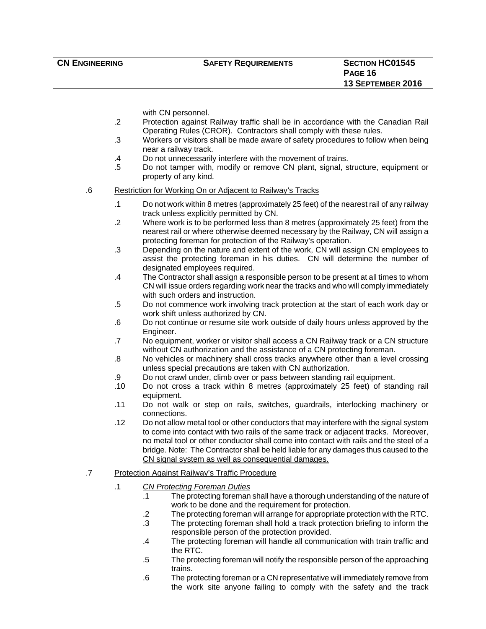#### **CN ENGINEERING SAFETY REQUIREMENTS SECTION HC01545**

with CN personnel.

- .2 Protection against Railway traffic shall be in accordance with the Canadian Rail Operating Rules (CROR). Contractors shall comply with these rules.
- .3 Workers or visitors shall be made aware of safety procedures to follow when being near a railway track.
- .4 Do not unnecessarily interfere with the movement of trains.
- .5 Do not tamper with, modify or remove CN plant, signal, structure, equipment or property of any kind.

#### .6 Restriction for Working On or Adjacent to Railway's Tracks

- .1 Do not work within 8 metres (approximately 25 feet) of the nearest rail of any railway track unless explicitly permitted by CN.
- .2 Where work is to be performed less than 8 metres (approximately 25 feet) from the nearest rail or where otherwise deemed necessary by the Railway, CN will assign a protecting foreman for protection of the Railway's operation.
- .3 Depending on the nature and extent of the work, CN will assign CN employees to assist the protecting foreman in his duties. CN will determine the number of designated employees required.
- .4 The Contractor shall assign a responsible person to be present at all times to whom CN will issue orders regarding work near the tracks and who will comply immediately with such orders and instruction.
- .5 Do not commence work involving track protection at the start of each work day or work shift unless authorized by CN.
- .6 Do not continue or resume site work outside of daily hours unless approved by the Engineer.
- .7 No equipment, worker or visitor shall access a CN Railway track or a CN structure without CN authorization and the assistance of a CN protecting foreman.
- .8 No vehicles or machinery shall cross tracks anywhere other than a level crossing unless special precautions are taken with CN authorization.
- .9 Do not crawl under, climb over or pass between standing rail equipment.
- .10 Do not cross a track within 8 metres (approximately 25 feet) of standing rail equipment.
- .11 Do not walk or step on rails, switches, guardrails, interlocking machinery or connections.
- .12 Do not allow metal tool or other conductors that may interfere with the signal system to come into contact with two rails of the same track or adjacent tracks. Moreover, no metal tool or other conductor shall come into contact with rails and the steel of a bridge. Note: The Contractor shall be held liable for any damages thus caused to the CN signal system as well as consequential damages.
- .7 Protection Against Railway's Traffic Procedure
	- .1 *CN Protecting Foreman Duties*
		- .1 The protecting foreman shall have a thorough understanding of the nature of work to be done and the requirement for protection.
		- .2 The protecting foreman will arrange for appropriate protection with the RTC.
		- .3 The protecting foreman shall hold a track protection briefing to inform the responsible person of the protection provided.
		- .4 The protecting foreman will handle all communication with train traffic and the RTC.
		- .5 The protecting foreman will notify the responsible person of the approaching trains.
		- .6 The protecting foreman or a CN representative will immediately remove from the work site anyone failing to comply with the safety and the track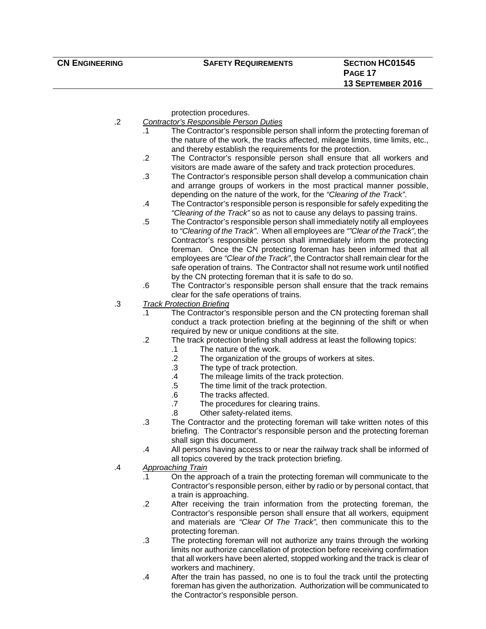protection procedures.

- .2 *Contractor's Responsible Person Duties*
	- .1 The Contractor's responsible person shall inform the protecting foreman of the nature of the work, the tracks affected, mileage limits, time limits, etc., and thereby establish the requirements for the protection.
	- .2 The Contractor's responsible person shall ensure that all workers and visitors are made aware of the safety and track protection procedures.
	- .3 The Contractor's responsible person shall develop a communication chain and arrange groups of workers in the most practical manner possible, depending on the nature of the work, for the *"Clearing of the Track"*.
	- .4 The Contractor's responsible person is responsible for safely expediting the *"Clearing of the Track"* so as not to cause any delays to passing trains.
	- .5 The Contractor's responsible person shall immediately notify all employees to *"Clearing of the Track"*. When all employees are *""Clear of the Track"*, the Contractor's responsible person shall immediately inform the protecting foreman. Once the CN protecting foreman has been informed that all employees are *"Clear of the Track"*, the Contractor shall remain clear for the safe operation of trains. The Contractor shall not resume work until notified by the CN protecting foreman that it is safe to do so.
	- .6 The Contractor's responsible person shall ensure that the track remains clear for the safe operations of trains.
- .3 *Track Protection Briefing*
	- .1 The Contractor's responsible person and the CN protecting foreman shall conduct a track protection briefing at the beginning of the shift or when required by new or unique conditions at the site.
	- .2 The track protection briefing shall address at least the following topics:
		- .1 The nature of the work.
		- .2 The organization of the groups of workers at sites.
		- .3 The type of track protection.
		- .4 The mileage limits of the track protection.
		- .5 The time limit of the track protection.
		- .6 The tracks affected.
		- .7 The procedures for clearing trains.
		- .8 Other safety-related items.
	- .3 The Contractor and the protecting foreman will take written notes of this briefing. The Contractor's responsible person and the protecting foreman shall sign this document.
	- .4 All persons having access to or near the railway track shall be informed of all topics covered by the track protection briefing.
- .4 *Approaching Train*
	- .1 On the approach of a train the protecting foreman will communicate to the Contractor's responsible person, either by radio or by personal contact, that a train is approaching.
	- .2 After receiving the train information from the protecting foreman, the Contractor's responsible person shall ensure that all workers, equipment and materials are *"Clear Of The Track"*, then communicate this to the protecting foreman.
	- .3 The protecting foreman will not authorize any trains through the working limits nor authorize cancellation of protection before receiving confirmation that all workers have been alerted, stopped working and the track is clear of workers and machinery.
	- .4 After the train has passed, no one is to foul the track until the protecting foreman has given the authorization. Authorization will be communicated to the Contractor's responsible person.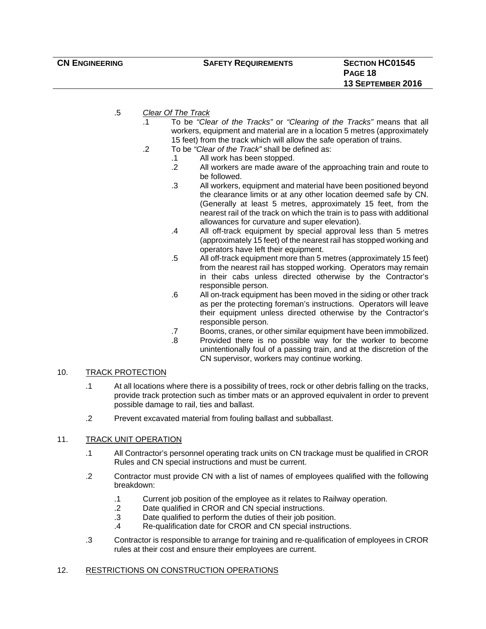- .5 *Clear Of The Track*
	- .1 To be *"Clear of the Tracks"* or *"Clearing of the Tracks"* means that all workers, equipment and material are in a location 5 metres (approximately 15 feet) from the track which will allow the safe operation of trains.
	- .2 To be *"Clear of the Track"* shall be defined as:
		- .1 All work has been stopped.
		- .2 All workers are made aware of the approaching train and route to be followed.
		- .3 All workers, equipment and material have been positioned beyond the clearance limits or at any other location deemed safe by CN. (Generally at least 5 metres, approximately 15 feet, from the nearest rail of the track on which the train is to pass with additional allowances for curvature and super elevation).
		- .4 All off-track equipment by special approval less than 5 metres (approximately 15 feet) of the nearest rail has stopped working and operators have left their equipment.
		- .5 All off-track equipment more than 5 metres (approximately 15 feet) from the nearest rail has stopped working. Operators may remain in their cabs unless directed otherwise by the Contractor's responsible person.
		- .6 All on-track equipment has been moved in the siding or other track as per the protecting foreman's instructions. Operators will leave their equipment unless directed otherwise by the Contractor's responsible person.
		- .7 Booms, cranes, or other similar equipment have been immobilized.
		- .8 Provided there is no possible way for the worker to become unintentionally foul of a passing train, and at the discretion of the CN supervisor, workers may continue working.

#### 10. TRACK PROTECTION

- .1 At all locations where there is a possibility of trees, rock or other debris falling on the tracks, provide track protection such as timber mats or an approved equivalent in order to prevent possible damage to rail, ties and ballast.
- .2 Prevent excavated material from fouling ballast and subballast.

#### 11. TRACK UNIT OPERATION

- .1 All Contractor's personnel operating track units on CN trackage must be qualified in CROR Rules and CN special instructions and must be current.
- .2 Contractor must provide CN with a list of names of employees qualified with the following breakdown:
	- .1 Current job position of the employee as it relates to Railway operation.
	- .2 Date qualified in CROR and CN special instructions.
	- .3 Date qualified to perform the duties of their job position.
	- .4 Re-qualification date for CROR and CN special instructions.
- .3 Contractor is responsible to arrange for training and re-qualification of employees in CROR rules at their cost and ensure their employees are current.

#### 12. RESTRICTIONS ON CONSTRUCTION OPERATIONS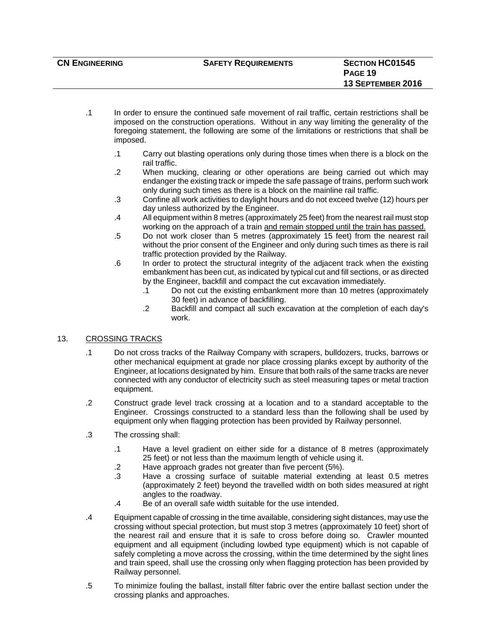| <b>CN ENGINEERING</b> | <b>SAFETY REQUIREMENTS</b> | <b>SECTION HC01545</b>   |
|-----------------------|----------------------------|--------------------------|
|                       |                            | PAGE 19                  |
|                       |                            | <b>13 SEPTEMBER 2016</b> |
|                       |                            |                          |

- .1 In order to ensure the continued safe movement of rail traffic, certain restrictions shall be imposed on the construction operations. Without in any way limiting the generality of the foregoing statement, the following are some of the limitations or restrictions that shall be imposed.
	- .1 Carry out blasting operations only during those times when there is a block on the rail traffic.
	- .2 When mucking, clearing or other operations are being carried out which may endanger the existing track or impede the safe passage of trains, perform such work only during such times as there is a block on the mainline rail traffic.
	- .3 Confine all work activities to daylight hours and do not exceed twelve (12) hours per day unless authorized by the Engineer.
	- .4 All equipment within 8 metres (approximately 25 feet) from the nearest rail must stop working on the approach of a train and remain stopped until the train has passed.
	- .5 Do not work closer than 5 metres (approximately 15 feet) from the nearest rail without the prior consent of the Engineer and only during such times as there is rail traffic protection provided by the Railway.
	- .6 In order to protect the structural integrity of the adjacent track when the existing embankment has been cut, as indicated by typical cut and fill sections, or as directed by the Engineer, backfill and compact the cut excavation immediately.
		- .1 Do not cut the existing embankment more than 10 metres (approximately 30 feet) in advance of backfilling.
		- .2 Backfill and compact all such excavation at the completion of each day's work.

### 13. CROSSING TRACKS

- .1 Do not cross tracks of the Railway Company with scrapers, bulldozers, trucks, barrows or other mechanical equipment at grade nor place crossing planks except by authority of the Engineer, at locations designated by him. Ensure that both rails of the same tracks are never connected with any conductor of electricity such as steel measuring tapes or metal traction equipment.
- .2 Construct grade level track crossing at a location and to a standard acceptable to the Engineer. Crossings constructed to a standard less than the following shall be used by equipment only when flagging protection has been provided by Railway personnel.
- .3 The crossing shall:
	- .1 Have a level gradient on either side for a distance of 8 metres (approximately 25 feet) or not less than the maximum length of vehicle using it.
	- .2 Have approach grades not greater than five percent (5%).
	- .3 Have a crossing surface of suitable material extending at least 0.5 metres (approximately 2 feet) beyond the travelled width on both sides measured at right angles to the roadway.
	- .4 Be of an overall safe width suitable for the use intended.
- .4 Equipment capable of crossing in the time available, considering sight distances, may use the crossing without special protection, but must stop 3 metres (approximately 10 feet) short of the nearest rail and ensure that it is safe to cross before doing so. Crawler mounted equipment and all equipment (including lowbed type equipment) which is not capable of safely completing a move across the crossing, within the time determined by the sight lines and train speed, shall use the crossing only when flagging protection has been provided by Railway personnel.
- .5 To minimize fouling the ballast, install filter fabric over the entire ballast section under the crossing planks and approaches.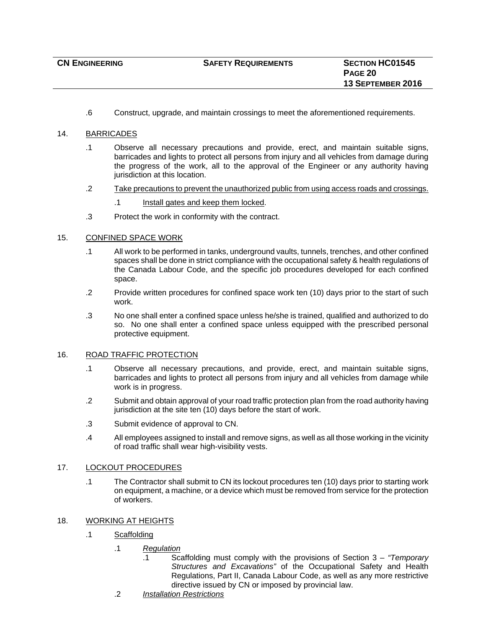.6 Construct, upgrade, and maintain crossings to meet the aforementioned requirements.

#### 14. BARRICADES

- .1 Observe all necessary precautions and provide, erect, and maintain suitable signs, barricades and lights to protect all persons from injury and all vehicles from damage during the progress of the work, all to the approval of the Engineer or any authority having jurisdiction at this location.
- .2 Take precautions to prevent the unauthorized public from using access roads and crossings.
	- .1 Install gates and keep them locked.
- .3 Protect the work in conformity with the contract.

#### 15. CONFINED SPACE WORK

- .1 All work to be performed in tanks, underground vaults, tunnels, trenches, and other confined spaces shall be done in strict compliance with the occupational safety & health regulations of the Canada Labour Code, and the specific job procedures developed for each confined space.
- .2 Provide written procedures for confined space work ten (10) days prior to the start of such work.
- .3 No one shall enter a confined space unless he/she is trained, qualified and authorized to do so. No one shall enter a confined space unless equipped with the prescribed personal protective equipment.

#### 16. ROAD TRAFFIC PROTECTION

- .1 Observe all necessary precautions, and provide, erect, and maintain suitable signs, barricades and lights to protect all persons from injury and all vehicles from damage while work is in progress.
- .2 Submit and obtain approval of your road traffic protection plan from the road authority having jurisdiction at the site ten (10) days before the start of work.
- .3 Submit evidence of approval to CN.
- .4 All employees assigned to install and remove signs, as well as all those working in the vicinity of road traffic shall wear high-visibility vests.

#### 17. LOCKOUT PROCEDURES

- .1 The Contractor shall submit to CN its lockout procedures ten (10) days prior to starting work on equipment, a machine, or a device which must be removed from service for the protection of workers.
- 18. WORKING AT HEIGHTS
	- .1 Scaffolding
		- .1 *Regulation*
			- .1 Scaffolding must comply with the provisions of Section 3 *"Temporary Structures and Excavations"* of the Occupational Safety and Health Regulations, Part II, Canada Labour Code, as well as any more restrictive directive issued by CN or imposed by provincial law.
			- .2 *Installation Restrictions*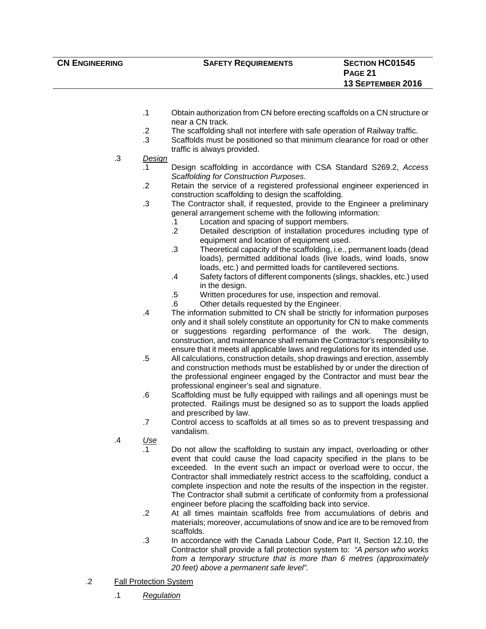- .1 Obtain authorization from CN before erecting scaffolds on a CN structure or near a CN track.
- .2 The scaffolding shall not interfere with safe operation of Railway traffic.
- .3 Scaffolds must be positioned so that minimum clearance for road or other traffic is always provided.
- .3 *Design*
	- .1 Design scaffolding in accordance with CSA Standard S269.2, *Access Scaffolding for Construction Purposes*.
	- .2 Retain the service of a registered professional engineer experienced in construction scaffolding to design the scaffolding.
	- .3 The Contractor shall, if requested, provide to the Engineer a preliminary general arrangement scheme with the following information:
		- .1 Location and spacing of support members.
		- .2 Detailed description of installation procedures including type of equipment and location of equipment used.
		- .3 Theoretical capacity of the scaffolding, i.e., permanent loads (dead loads), permitted additional loads (live loads, wind loads, snow loads, etc.) and permitted loads for cantilevered sections.
		- .4 Safety factors of different components (slings, shackles, etc.) used in the design.
		- .5 Written procedures for use, inspection and removal.
		- .6 Other details requested by the Engineer.
	- .4 The information submitted to CN shall be strictly for information purposes only and it shall solely constitute an opportunity for CN to make comments or suggestions regarding performance of the work. The design, construction, and maintenance shall remain the Contractor's responsibility to ensure that it meets all applicable laws and regulations for its intended use.
	- .5 All calculations, construction details, shop drawings and erection, assembly and construction methods must be established by or under the direction of the professional engineer engaged by the Contractor and must bear the professional engineer's seal and signature.
	- .6 Scaffolding must be fully equipped with railings and all openings must be protected. Railings must be designed so as to support the loads applied and prescribed by law.
	- .7 Control access to scaffolds at all times so as to prevent trespassing and vandalism.
- .4 *Use*
	- .1 Do not allow the scaffolding to sustain any impact, overloading or other event that could cause the load capacity specified in the plans to be exceeded. In the event such an impact or overload were to occur, the Contractor shall immediately restrict access to the scaffolding, conduct a complete inspection and note the results of the inspection in the register. The Contractor shall submit a certificate of conformity from a professional engineer before placing the scaffolding back into service.
	- .2 At all times maintain scaffolds free from accumulations of debris and materials; moreover, accumulations of snow and ice are to be removed from scaffolds.
	- .3 In accordance with the Canada Labour Code, Part II, Section 12.10, the Contractor shall provide a fall protection system to: *"A person who works from a temporary structure that is more than 6 metres (approximately 20 feet) above a permanent safe level"*.
- .2 Fall Protection System
	- .1 *Regulation*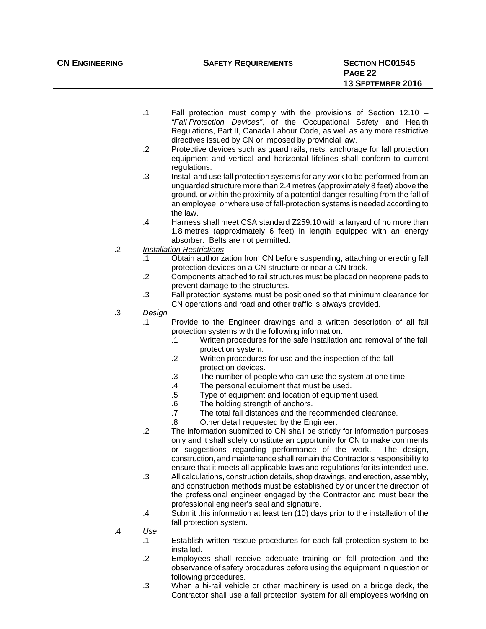| <b>CN ENGINEERING</b> | <b>SAFETY REQUIREMENTS</b> | <b>SECTION HC01545</b> |
|-----------------------|----------------------------|------------------------|
|                       |                            | <b>PAGE 22</b>         |
|                       |                            | 13 SEPTEMBER 2016      |
|                       |                            |                        |

- .1 Fall protection must comply with the provisions of Section 12.10 *"Fall Protection Devices"*, of the Occupational Safety and Health Regulations, Part II, Canada Labour Code, as well as any more restrictive directives issued by CN or imposed by provincial law.
- .2 Protective devices such as guard rails, nets, anchorage for fall protection equipment and vertical and horizontal lifelines shall conform to current regulations.
- .3 Install and use fall protection systems for any work to be performed from an unguarded structure more than 2.4 metres (approximately 8 feet) above the ground, or within the proximity of a potential danger resulting from the fall of an employee, or where use of fall-protection systems is needed according to the law.
- .4 Harness shall meet CSA standard Z259.10 with a lanyard of no more than 1.8 metres (approximately 6 feet) in length equipped with an energy absorber. Belts are not permitted.
- .2 *Installation Restrictions*
	- .1 Obtain authorization from CN before suspending, attaching or erecting fall protection devices on a CN structure or near a CN track.
	- .2 Components attached to rail structures must be placed on neoprene pads to prevent damage to the structures.
	- .3 Fall protection systems must be positioned so that minimum clearance for CN operations and road and other traffic is always provided.
- .3 *Design*
	- .1 Provide to the Engineer drawings and a written description of all fall protection systems with the following information:
		- .1 Written procedures for the safe installation and removal of the fall protection system.
		- .2 Written procedures for use and the inspection of the fall protection devices.
		- .3 The number of people who can use the system at one time.
		- .4 The personal equipment that must be used.
		- .5 Type of equipment and location of equipment used.
		- .6 The holding strength of anchors.
		- .7 The total fall distances and the recommended clearance.
		- .8 Other detail requested by the Engineer.
	- .2 The information submitted to CN shall be strictly for information purposes only and it shall solely constitute an opportunity for CN to make comments or suggestions regarding performance of the work. The design, construction, and maintenance shall remain the Contractor's responsibility to ensure that it meets all applicable laws and regulations for its intended use.
	- .3 All calculations, construction details, shop drawings, and erection, assembly, and construction methods must be established by or under the direction of the professional engineer engaged by the Contractor and must bear the professional engineer's seal and signature.
	- .4 Submit this information at least ten (10) days prior to the installation of the fall protection system.
- .4 *Use*
	- .1 Establish written rescue procedures for each fall protection system to be installed.
	- .2 Employees shall receive adequate training on fall protection and the observance of safety procedures before using the equipment in question or following procedures.
	- .3 When a hi-rail vehicle or other machinery is used on a bridge deck, the Contractor shall use a fall protection system for all employees working on